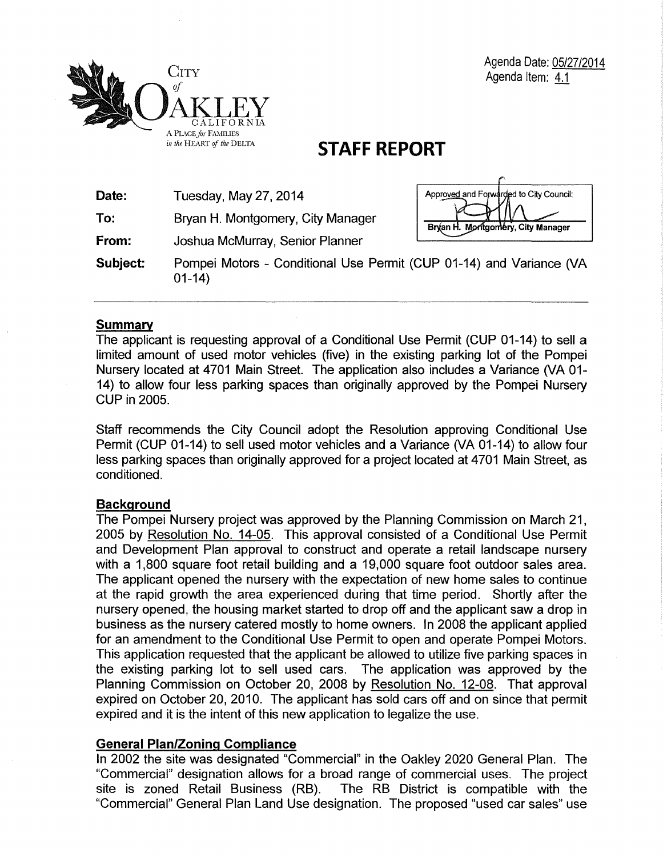

# **STAFF REPORT**

| Date:    | Tuesday, May 27, 2014                                                          | Approved and Forwarded to City Council: |
|----------|--------------------------------------------------------------------------------|-----------------------------------------|
| To:      | Bryan H. Montgomery, City Manager                                              | Bryan H. Montgomery, City Manager       |
| From:    | Joshua McMurray, Senior Planner                                                |                                         |
| Subject: | Pompei Motors - Conditional Use Permit (CUP 01-14) and Variance (VA<br>$01-14$ |                                         |

# **Summary**

The applicant is requesting approval of a Conditional Use Permit (CUP 01-14) to sell a limited amount of used motor vehicles (five) in the existing parking lot of the Pompei Nursery located at 4701 Main Street. The application also includes a Variance (VA 01- 14) to allow four less parking spaces than originally approved by the Pompei Nursery CUP in 2005.

Staff recommends the City Council adopt the Resolution approving Conditional Use Permit (CUP 01-14) to sell used motor vehicles and a Variance (VA 01-14) to allow four less parking spaces than originally approved for a project located at 4701 Main Street, as conditioned.

# **Background**

The Pompei Nursery project was approved by the Planning Commission on March 21, 2005 by Resolution No. 14-05. This approval consisted of a Conditional Use Permit and Development Plan approval to construct and operate a retail landscape nursery with a 1,800 square foot retail building and a 19,000 square foot outdoor sales area. The applicant opened the nursery with the expectation of new home sales to continue at the rapid growth the area experienced during that time period. Shortly after the nursery opened, the housing market started to drop off and the applicant saw a drop in business as the nursery catered mostly to home owners. In 2008 the applicant applied for an amendment to the Conditional Use Permit to open and operate Pompei Motors. This application requested that the applicant be allowed to utilize five parking spaces in the existing parking lot to sell used cars. The application was approved by the Planning Commission on October 20, 2008 by Resolution No. 12-08. That approval expired on October 20, 2010. The applicant has sold cars off and on since that permit expired and it is the intent of this new application to legalize the use.

# **General Plan/Zoning Compliance**

In 2002 the site was designated "Commercial" in the Oakley 2020 General Plan. The "Commercial" designation allows for a broad range of commercial uses. The project site is zoned Retail Business (RB). The RB District is compatible with the "Commercial" General Plan Land Use designation. The proposed "used car sales" use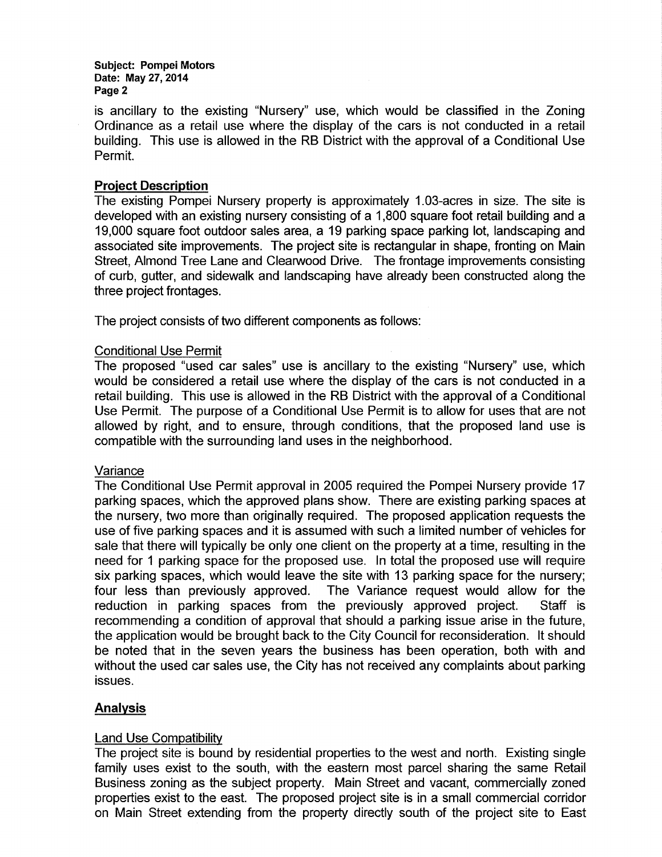Subject: Pompei Motors Date: May 27, 2014 Page 2

is ancillary to the existing "Nursery" use, which would be classified in the Zoning Ordinance as a retail use where the display of the cars is not conducted in a retail building. This use is allowed in the RB District with the approval of a Conditional Use Permit.

## Project Description

The existing Pompei Nursery property is approximately 1.03-acres in size. The site is developed with an existing nursery consisting of a 1 ,800 square foot retail building and a 19,000 square foot outdoor sales area, a 19 parking space parking lot, landscaping and associated site improvements. The project site is rectangular in shape, fronting on Main Street, Almond Tree Lane and Clearwood Drive. The frontage improvements consisting of curb, gutter, and sidewalk and landscaping have already been constructed along the three project frontages.

The project consists of two different components as follows:

#### Conditional Use Permit

The proposed "used car sales" use is ancillary to the existing "Nursery" use, which would be considered a retail use where the display of the cars is not conducted in a retail building. This use is allowed in the RB District with the approval of a Conditional Use Permit. The purpose of a Conditional Use Permit is to allow for uses that are not allowed by right, and to ensure, through conditions, that the proposed land use is compatible with the surrounding land uses in the neighborhood.

#### Variance

The Conditional Use Permit approval in 2005 required the Pompei Nursery provide 17 parking spaces, which the approved plans show. There are existing parking spaces at the nursery, two more than originally required. The proposed application requests the use of five parking spaces and it is assumed with such a limited number of vehicles for sale that there will typically be only one client on the property at a time, resulting in the need for 1 parking space for the proposed use. In total the proposed use will require six parking spaces, which would leave the site with 13 parking space for the nursery; four less than previously approved. The Variance request would allow for the reduction in parking spaces from the previously approved project. Staff is recommending a condition of approval that should a parking issue arise in the future, the application would be brought back to the City Council for reconsideration. It should be noted that in the seven years the business has been operation, both with and without the used car sales use, the City has not received any complaints about parking issues.

## **Analysis**

## Land Use Compatibility

The project site is bound by residential properties to the west and north. Existing single family uses exist to the south, with the eastern most parcel sharing the same Retail Business zoning as the subject property. Main Street and vacant, commercially zoned properties exist to the east. The proposed project site is in a small commercial corridor on Main Street extending from the property directly south of the project site to East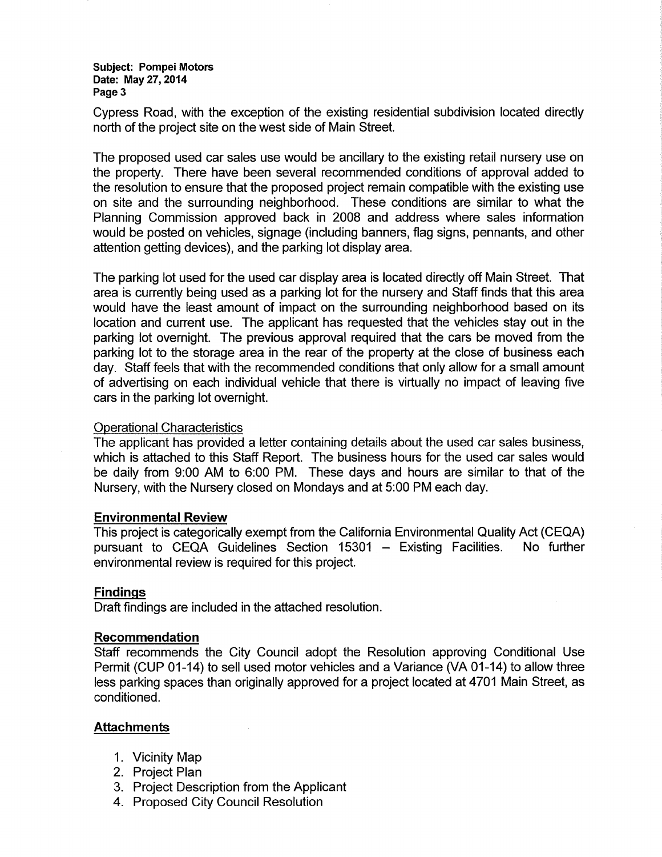#### Subject: Pompei Motors Date: May 27,2014 Page 3

Cypress Road, with the exception of the existing residential subdivision located directly north of the project site on the west side of Main Street.

The proposed used car sales use would be ancillary to the existing retail nursery use on the property. There have been several recommended conditions of approval added to the resolution to ensure that the proposed project remain compatible with the existing use on site and the surrounding neighborhood. These conditions are similar to what the Planning Commission approved back in 2008 and address where sales information would be posted on vehicles, signage (including banners, flag signs, pennants, and other attention getting devices), and the parking lot display area.

The parking lot used for the used car display area is located directly off Main Street. That area is currently being used as a parking lot for the nursery and Staff finds that this area would have the least amount of impact on the surrounding neighborhood based on its location and current use. The applicant has requested that the vehicles stay out in the parking lot overnight. The previous approval required that the cars be moved from the parking lot to the storage area in the rear of the property at the close of business each day. Staff feels that with the recommended conditions that only allow for a small amount of advertising on each individual vehicle that there is virtually no impact of leaving five cars in the parking lot overnight.

## Operational Characteristics

The applicant has provided a letter containing details about the used car sales business, which is attached to this Staff Report. The business hours for the used car sales would be daily from 9:00 AM to 6:00 PM. These days and hours are similar to that of the Nursery, with the Nursery closed on Mondays and at 5:00 PM each day.

#### Environmental Review

This project is categorically exempt from the California Environmental Quality Act (CEQA) pursuant to CEQA Guidelines Section  $15301 -$  Existing Facilities. No further environmental review is required for this project.

#### Findings

Draft findings are included in the attached resolution.

#### Recommendation

Staff recommends the City Council adopt the Resolution approving Conditional Use Permit (CUP 01-14) to sell used motor vehicles and a Variance (VA 01-14) to allow three less parking spaces than originally approved for a project located at 4701 Main Street, as conditioned.

#### **Attachments**

- 1. Vicinity Map
- 2. Project Plan
- 3. Project Description from the Applicant
- 4. Proposed City Council Resolution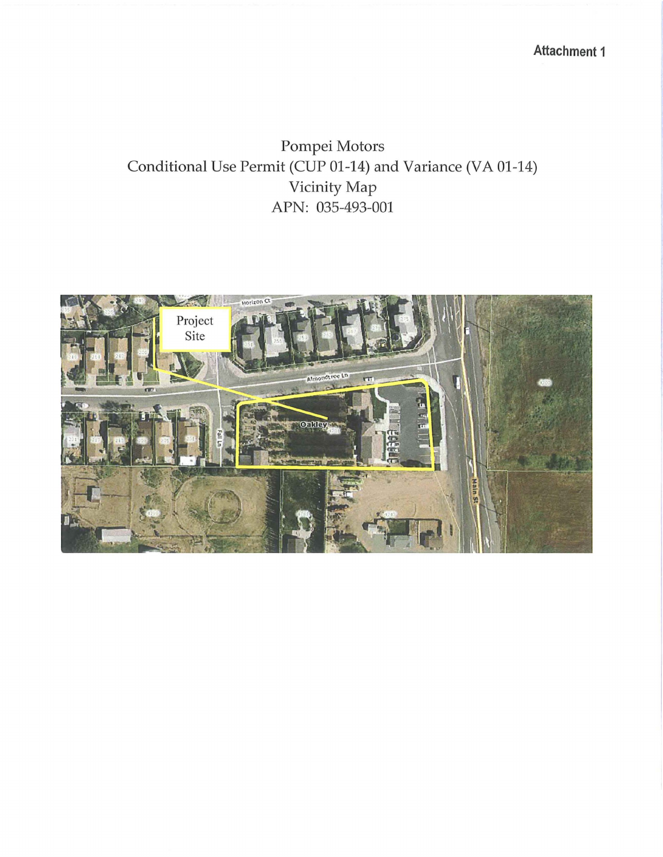**Attachment 1** 

Pompei Motors Conditional Use Permit (CUP 01-14) and Variance (VA 01-14) Vicinity Map APN: 035-493-001

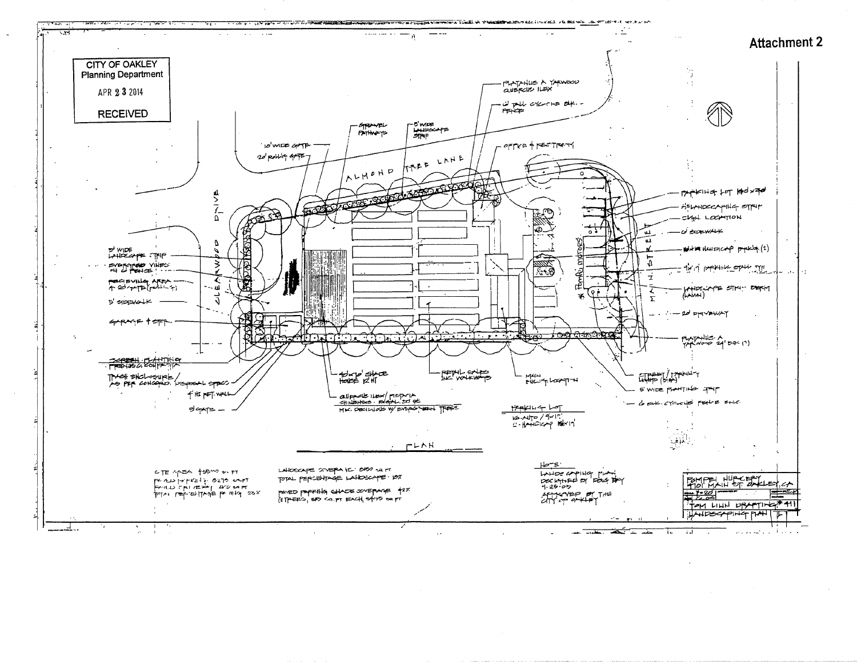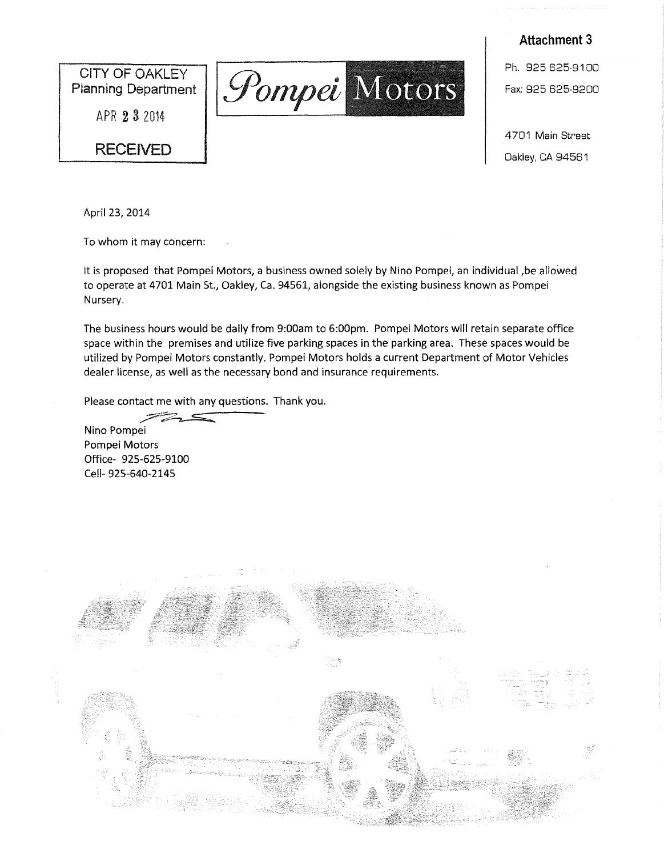CITY OF OAKLEY Planning Department

APR 2 3 <sup>2014</sup>

# **RECEIVED**



**Attachment 3**  Ph. 925 625-9100

4701 Main Street Oakley, CA 94561

April 23, 2014

To whom it may concern:

It is proposed that Pompei Motors, a business owned solely by Nino Pompei, an individual, be allowed to operate at 4701 Main St., Oakley, Ca. 94561, alongside the existing business known as Pompei Nursery.

The business hours would be daily from 9:00am to 6:00pm. Pompei Motors will retain separate office space within the premises and utilize five parking spaces in the parking area. These spaces would be utilized by Pompei Motors constantly. Pompei Motors holds a current Department of Motor Vehicles dealer license, as well as the necessary bond and insurance requirements.

Please contact act me with any questions. Thank you. me with any questions. Thank you.

Nino Pompei Pompei Motors Office- 925-625-9100 Cell- 925-640-2145

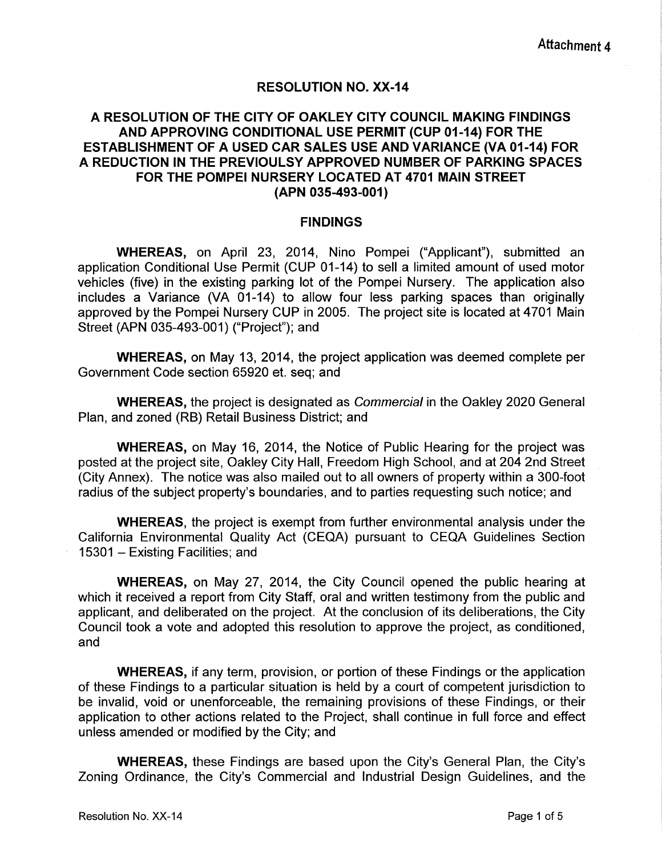# RESOLUTION NO. XX-14

# A RESOLUTION OF THE CITY OF OAKLEY CITY COUNCIL MAKING FINDINGS AND APPROVING CONDITIONAL USE PERMIT (CUP 01-14) FOR THE ESTABLISHMENT OF A USED CAR SALES USE AND VARIANCE (VA 01-14) FOR A REDUCTION IN THE PREVIOULSY APPROVED NUMBER OF PARKING SPACES FOR THE POMPEI NURSERY LOCATED AT 4701 MAIN STREET (APN 035-493-001)

#### FINDINGS

WHEREAS, on April 23, 2014, Nino Pompei ("Applicant"), submitted an application Conditional Use Permit (CUP 01-14) to sell a limited amount of used motor vehicles (five) in the existing parking lot of the Pompei Nursery. The application also includes a Variance (VA 01-14) to allow four less parking spaces than originally approved by the Pompei Nursery CUP in 2005. The project site is located at 4701 Main Street (APN 035-493-001) ("Project"); and

WHEREAS, on May 13, 2014, the project application was deemed complete per Government Code section 65920 et. seq; and

WHEREAS, the project is designated as Commercial in the Oakley 2020 General Plan, and zoned (RB) Retail Business District; and

WHEREAS, on May 16, 2014, the Notice of Public Hearing for the project was posted at the project site, Oakley City Hall, Freedom High School, and at 204 2nd Street (City Annex). The notice was also mailed out to all owners of property within a 300-foot radius of the subject property's boundaries, and to parties requesting such notice; and

WHEREAS, the project is exempt from further environmental analysis under the California Environmental Quality Act (CEQA) pursuant to CEQA Guidelines Section 15301 - Existing Facilities; and

WHEREAS, on May 27, 2014, the City Council opened the public hearing at which it received a report from City Staff, oral and written testimony from the public and applicant, and deliberated on the project. At the conclusion of its deliberations, the City Council took a vote and adopted this resolution to approve the project, as conditioned, and

WHEREAS, if any term, provision, or portion of these Findings or the application of these Findings to a particular situation is held by a court of competent jurisdiction to be invalid, void or unenforceable, the remaining provisions of these Findings, or their application to other actions related to the Project, shall continue in full force and effect unless amended or modified by the City; and

WHEREAS, these Findings are based upon the City's General Plan, the City's Zoning Ordinance, the City's Commercial and Industrial Design Guidelines, and the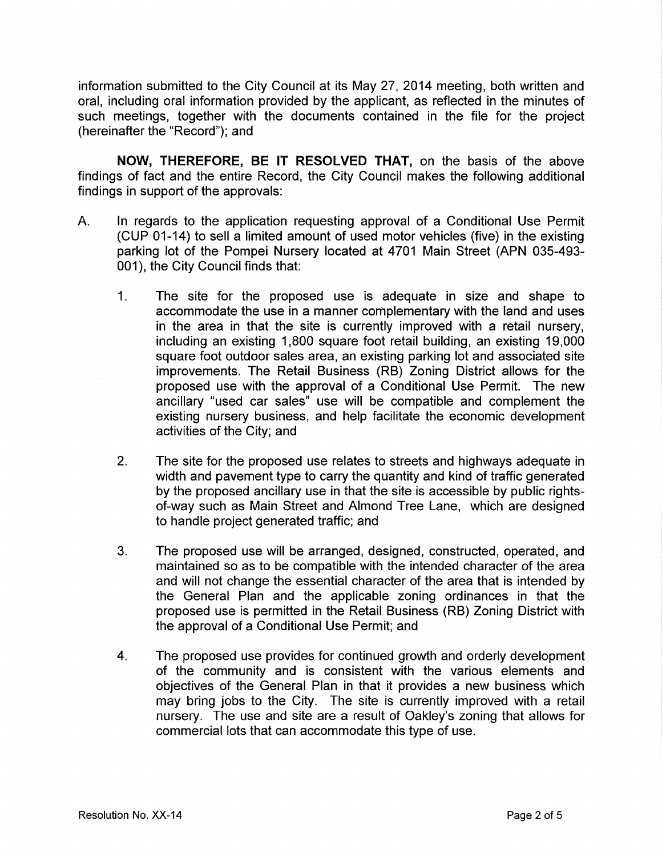information submitted to the City Council at its May 27, 2014 meeting, both written and oral, including oral information provided by the applicant, as reflected in the minutes of such meetings, together with the documents contained in the file for the project (hereinafter the "Record"); and

**NOW, THEREFORE, BE IT RESOLVED THAT,** on the basis of the above findings of fact and the entire Record, the City Council makes the following additional findings in support of the approvals:

- A. In regards to the application requesting approval of a Conditional Use Permit (CUP 01-14) to sell a limited amount of used motor vehicles (five) in the existing parking lot of the Pompei Nursery located at 4701 Main Street (APN 035-493- 001), the City Council finds that:
	- 1. The site for the proposed use is adequate in size and shape to accommodate the use in a manner complementary with the land and uses in the area in that the site is currently improved with a retail nursery, including an existing 1,800 square foot retail building, an existing 19,000 square foot outdoor sales area, an existing parking lot and associated site improvements. The Retail Business (RB) Zoning District allows for the proposed use with the approval of a Conditional Use Permit. The new ancillary "used car sales" use will be compatible and complement the existing nursery business, and help facilitate the economic development activities of the City; and
	- 2. The site for the proposed use relates to streets and highways adequate in width and pavement type to carry the quantity and kind of traffic generated by the proposed ancillary use in that the site is accessible by public rightsof-way such as Main Street and Almond Tree Lane, which are designed to handle project generated traffic; and
	- 3. The proposed use will be arranged, designed, constructed, operated, and maintained so as to be compatible with the intended character of the area and will not change the essential character of the area that is intended by the General Plan and the applicable zoning ordinances in that the proposed use is permitted in the Retail Business (RB) Zoning District with the approval of a Conditional Use Permit; and
	- 4. The proposed use provides for continued growth and orderly development of the community and is consistent with the various elements and objectives of the General Plan in that it provides a new business which may bring jobs to the City. The site is currently improved with a retail nursery. The use and site are a result of Oakley's zoning that allows for commercial lots that can accommodate this type of use.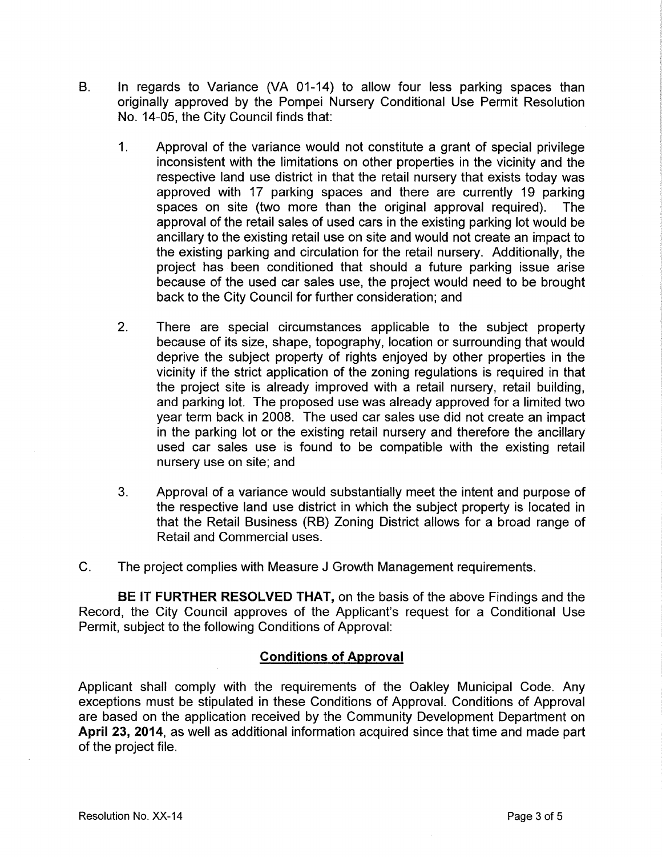- B. In regards to Variance (VA 01-14) to allow four less parking spaces than originally approved by the Pompei Nursery Conditional Use Permit Resolution No. 14-05, the City Council finds that:
	- 1. Approval of the variance would not constitute a grant of special privilege inconsistent with the limitations on other properties in the vicinity and the respective land use district in that the retail nursery that exists today was approved with 17 parking spaces and there are currently 19 parking spaces on site (two more than the original approval required). The approval of the retail sales of used cars in the existing parking lot would be ancillary to the existing retail use on site and would not create an impact to the existing parking and circulation for the retail nursery. Additionally, the project has been conditioned that should a future parking issue arise because of the used car sales use, the project would need to be brought back to the City Council for further consideration; and
	- 2. There are special circumstances applicable to the subject property because of its size, shape, topography, location or surrounding that would deprive the subject property of rights enjoyed by other properties in the vicinity if the strict application of the zoning regulations is required in that the project site is already improved with a retail nursery, retail building, and parking lot. The proposed use was already approved for a limited two year term back in 2008. The used car sales use did not create an impact in the parking lot or the existing retail nursery and therefore the ancillary used car sales use is found to be compatible with the existing retail nursery use on site; and
	- 3. Approval of a variance would substantially meet the intent and purpose of the respective land use district in which the subject property is located in that the Retail Business (RB) Zoning District allows for a broad range of Retail and Commercial uses.
- C. The project complies with Measure J Growth Management requirements.

**BE IT FURTHER RESOLVED THAT,** on the basis of the above Findings and the Record, the City Council approves of the Applicant's request for a Conditional Use Permit, subject to the following Conditions of Approval:

# **Conditions of Approval**

Applicant shall comply with the requirements of the Oakley Municipal Code. Any exceptions must be stipulated in these Conditions of Approval. Conditions of Approval are based on the application received by the Community Development Department on **April** 23, **2014,** as well as additional information acquired since that time and made part of the project file.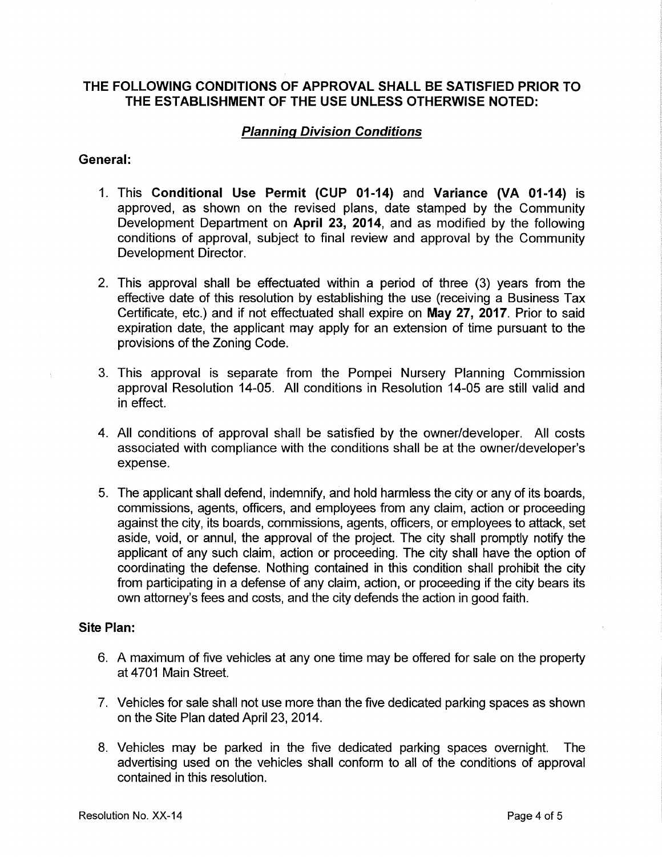# **THE FOLLOWING CONDITIONS OF APPROVAL SHALL BE SATISFIED PRIOR TO THE ESTABLISHMENT OF THE USE UNLESS OTHERWISE NOTED:**

# **Planning Division Conditions**

# **General:**

- 1. This **Conditional Use Permit (CUP 01-14)** and **Variance** (VA **01-14)** is approved, as shown on the revised plans, date stamped by the Community Development Department on **April 23, 2014,** and as modified by the following conditions of approval, subject to final review and approval by the Community Development Director.
- 2. This approval shall be effectuated within a period of three (3) years from the effective date of this resolution by establishing the use (receiving a Business Tax Certificate, etc.) and if not effectuated shall expire on **May 27, 2017.** Prior to said expiration date, the applicant may apply for an extension of time pursuant to the provisions of the Zoning Code.
- 3. This approval is separate from the Pompei Nursery Planning Commission approval Resolution 14-05. All conditions in Resolution 14-05 are still valid and in effect.
- 4. All conditions of approval shall be satisfied by the owner/developer. All costs associated with compliance with the conditions shall be at the owner/developer's expense.
- 5. The applicant shall defend, indemnify, and hold harmless the city or any of its boards, commissions, agents, officers, and employees from any claim, action or proceeding against the city, its boards, commissions, agents, officers, or employees to attack, set aside, void, or annul, the approval of the project. The city shall promptly notify the applicant of any such claim, action or proceeding. The city shall have the option of coordinating the defense. Nothing contained in this condition shall prohibit the city from participating in a defense of any claim, action, or proceeding if the city bears its own attorney's fees and costs, and the city defends the action in good faith.

## **Site Plan:**

- 6. A maximum of five vehicles at any one time may be offered for sale on the property at 4701 Main Street.
- 7. Vehicles for sale shall not use more than the five dedicated parking spaces as shown on the Site Plan dated April 23, 2014.
- 8. Vehicles may be parked in the five dedicated parking spaces overnight. The advertising used on the vehicles shall conform to all of the conditions of approval contained in this resolution.